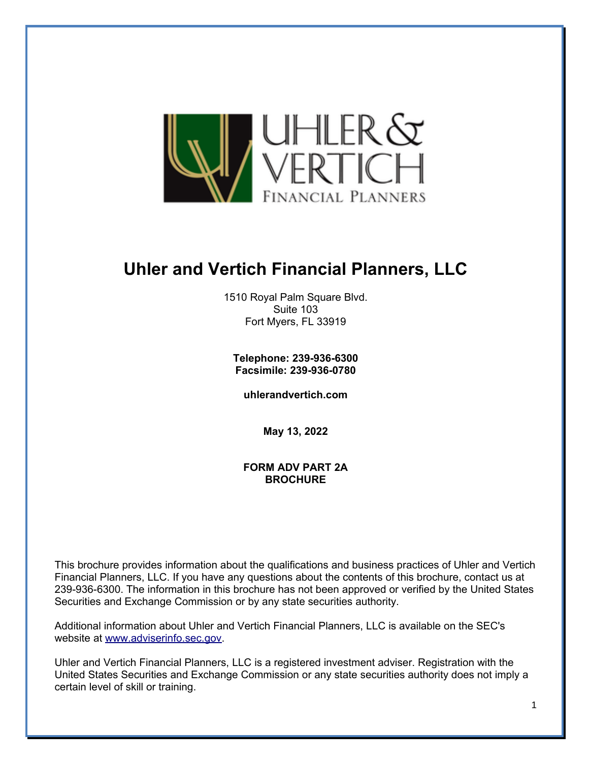

# **Uhler and Vertich Financial Planners, LLC**

1510 Royal Palm Square Blvd. Suite 103 Fort Myers, FL 33919

**Telephone: 239-936-6300 Facsimile: 239-936-0780**

**uhlerandvertich.com**

**May 13, 2022**

**FORM ADV PART 2A BROCHURE**

This brochure provides information about the qualifications and business practices of Uhler and Vertich Financial Planners, LLC. If you have any questions about the contents of this brochure, contact us at 239-936-6300. The information in this brochure has not been approved or verified by the United States Securities and Exchange Commission or by any state securities authority.

Additional information about Uhler and Vertich Financial Planners, LLC is available on the SEC's website at [www.adviserinfo.sec.gov.](http://www.adviserinfo.sec.gov/)

Uhler and Vertich Financial Planners, LLC is a registered investment adviser. Registration with the United States Securities and Exchange Commission or any state securities authority does not imply a certain level of skill or training.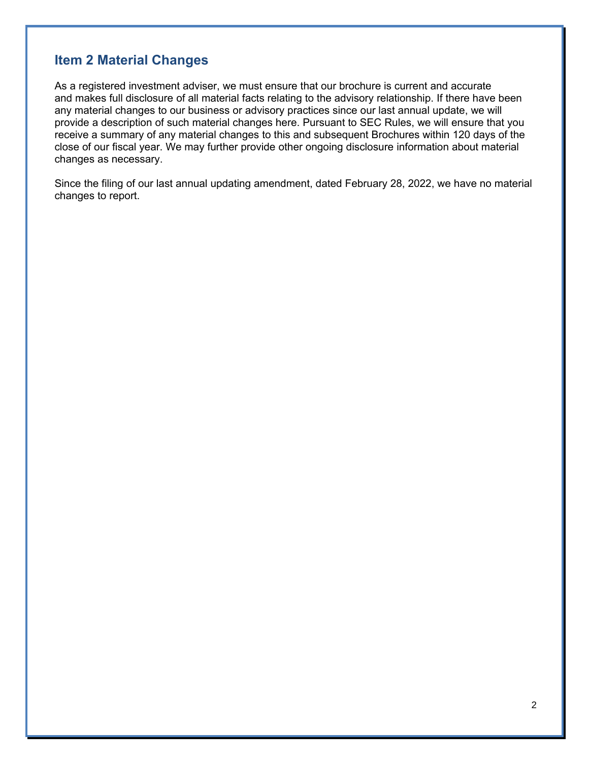# **Item 2 Material Changes**

As a registered investment adviser, we must ensure that our brochure is current and accurate and makes full disclosure of all material facts relating to the advisory relationship. If there have been any material changes to our business or advisory practices since our last annual update, we will provide a description of such material changes here. Pursuant to SEC Rules, we will ensure that you receive a summary of any material changes to this and subsequent Brochures within 120 days of the close of our fiscal year. We may further provide other ongoing disclosure information about material changes as necessary.

Since the filing of our last annual updating amendment, dated February 28, 2022, we have no material changes to report.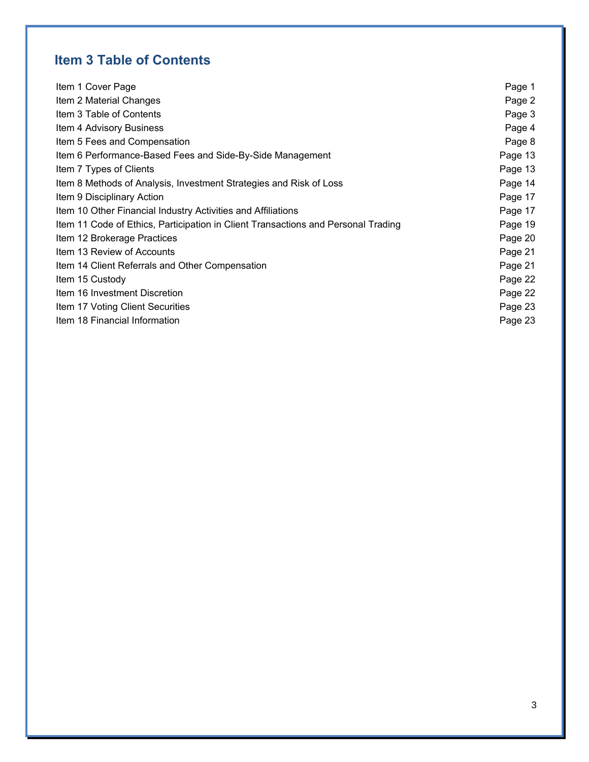# **Item 3 Table of Contents**

| Item 1 Cover Page                                                                 | Page 1  |
|-----------------------------------------------------------------------------------|---------|
| Item 2 Material Changes                                                           | Page 2  |
| Item 3 Table of Contents                                                          | Page 3  |
| Item 4 Advisory Business                                                          | Page 4  |
| Item 5 Fees and Compensation                                                      | Page 8  |
| Item 6 Performance-Based Fees and Side-By-Side Management                         | Page 13 |
| Item 7 Types of Clients                                                           | Page 13 |
| Item 8 Methods of Analysis, Investment Strategies and Risk of Loss                | Page 14 |
| Item 9 Disciplinary Action                                                        | Page 17 |
| Item 10 Other Financial Industry Activities and Affiliations                      | Page 17 |
| Item 11 Code of Ethics, Participation in Client Transactions and Personal Trading | Page 19 |
| Item 12 Brokerage Practices                                                       | Page 20 |
| Item 13 Review of Accounts                                                        | Page 21 |
| Item 14 Client Referrals and Other Compensation                                   | Page 21 |
| Item 15 Custody                                                                   | Page 22 |
| Item 16 Investment Discretion                                                     | Page 22 |
| Item 17 Voting Client Securities                                                  | Page 23 |
| Item 18 Financial Information                                                     | Page 23 |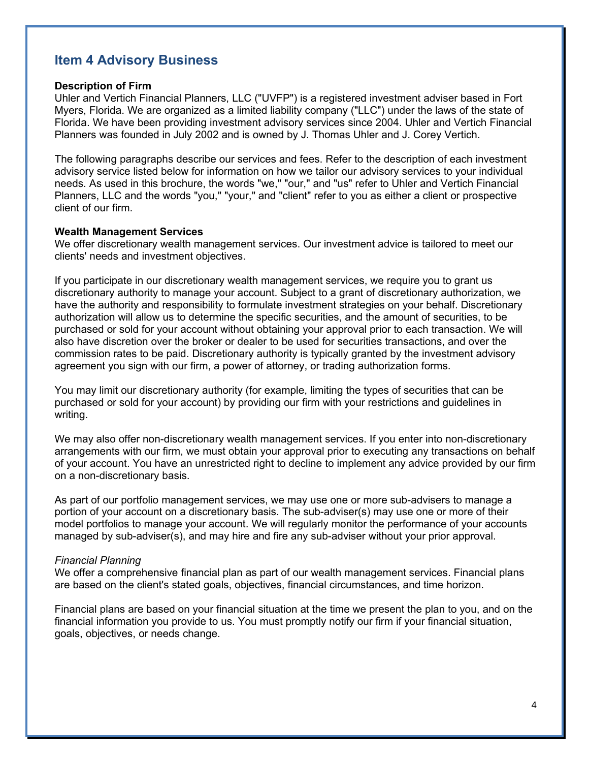# **Item 4 Advisory Business**

### **Description of Firm**

Uhler and Vertich Financial Planners, LLC ("UVFP") is a registered investment adviser based in Fort Myers, Florida. We are organized as a limited liability company ("LLC") under the laws of the state of Florida. We have been providing investment advisory services since 2004. Uhler and Vertich Financial Planners was founded in July 2002 and is owned by J. Thomas Uhler and J. Corey Vertich.

The following paragraphs describe our services and fees. Refer to the description of each investment advisory service listed below for information on how we tailor our advisory services to your individual needs. As used in this brochure, the words "we," "our," and "us" refer to Uhler and Vertich Financial Planners, LLC and the words "you," "your," and "client" refer to you as either a client or prospective client of our firm.

#### **Wealth Management Services**

We offer discretionary wealth management services. Our investment advice is tailored to meet our clients' needs and investment objectives.

If you participate in our discretionary wealth management services, we require you to grant us discretionary authority to manage your account. Subject to a grant of discretionary authorization, we have the authority and responsibility to formulate investment strategies on your behalf. Discretionary authorization will allow us to determine the specific securities, and the amount of securities, to be purchased or sold for your account without obtaining your approval prior to each transaction. We will also have discretion over the broker or dealer to be used for securities transactions, and over the commission rates to be paid. Discretionary authority is typically granted by the investment advisory agreement you sign with our firm, a power of attorney, or trading authorization forms.

You may limit our discretionary authority (for example, limiting the types of securities that can be purchased or sold for your account) by providing our firm with your restrictions and guidelines in writing.

We may also offer non-discretionary wealth management services. If you enter into non-discretionary arrangements with our firm, we must obtain your approval prior to executing any transactions on behalf of your account. You have an unrestricted right to decline to implement any advice provided by our firm on a non-discretionary basis.

As part of our portfolio management services, we may use one or more sub-advisers to manage a portion of your account on a discretionary basis. The sub-adviser(s) may use one or more of their model portfolios to manage your account. We will regularly monitor the performance of your accounts managed by sub-adviser(s), and may hire and fire any sub-adviser without your prior approval.

#### *Financial Planning*

We offer a comprehensive financial plan as part of our wealth management services. Financial plans are based on the client's stated goals, objectives, financial circumstances, and time horizon.

Financial plans are based on your financial situation at the time we present the plan to you, and on the financial information you provide to us. You must promptly notify our firm if your financial situation, goals, objectives, or needs change.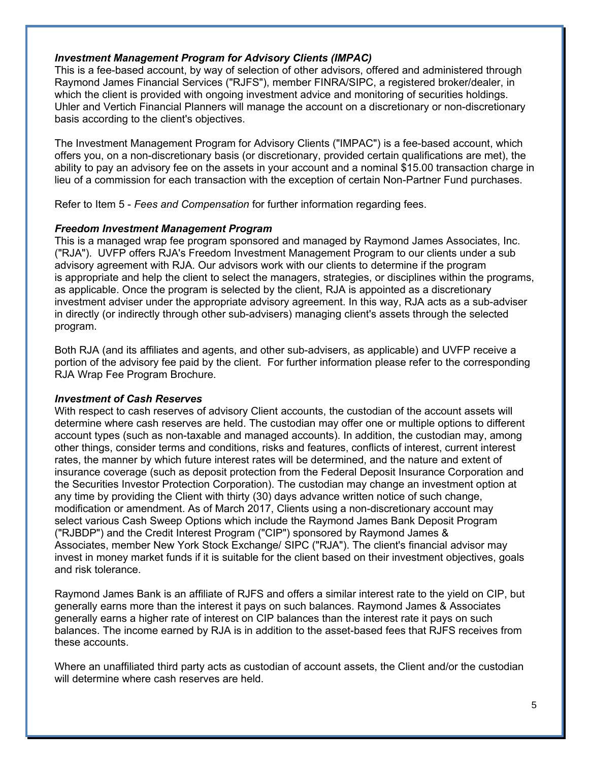### *Investment Management Program for Advisory Clients (IMPAC)*

This is a fee-based account, by way of selection of other advisors, offered and administered through Raymond James Financial Services ("RJFS"), member FINRA/SIPC, a registered broker/dealer, in which the client is provided with ongoing investment advice and monitoring of securities holdings. Uhler and Vertich Financial Planners will manage the account on a discretionary or non-discretionary basis according to the client's objectives.

The Investment Management Program for Advisory Clients ("IMPAC") is a fee-based account, which offers you, on a non-discretionary basis (or discretionary, provided certain qualifications are met), the ability to pay an advisory fee on the assets in your account and a nominal \$15.00 transaction charge in lieu of a commission for each transaction with the exception of certain Non-Partner Fund purchases.

Refer to Item 5 - *Fees and Compensation* for further information regarding fees.

### *Freedom Investment Management Program*

This is a managed wrap fee program sponsored and managed by Raymond James Associates, Inc. ("RJA"). UVFP offers RJA's Freedom Investment Management Program to our clients under a sub advisory agreement with RJA. Our advisors work with our clients to determine if the program is appropriate and help the client to select the managers, strategies, or disciplines within the programs, as applicable. Once the program is selected by the client, RJA is appointed as a discretionary investment adviser under the appropriate advisory agreement. In this way, RJA acts as a sub-adviser in directly (or indirectly through other sub-advisers) managing client's assets through the selected program.

Both RJA (and its affiliates and agents, and other sub-advisers, as applicable) and UVFP receive a portion of the advisory fee paid by the client. For further information please refer to the corresponding RJA Wrap Fee Program Brochure.

#### *Investment of Cash Reserves*

With respect to cash reserves of advisory Client accounts, the custodian of the account assets will determine where cash reserves are held. The custodian may offer one or multiple options to different account types (such as non-taxable and managed accounts). In addition, the custodian may, among other things, consider terms and conditions, risks and features, conflicts of interest, current interest rates, the manner by which future interest rates will be determined, and the nature and extent of insurance coverage (such as deposit protection from the Federal Deposit Insurance Corporation and the Securities Investor Protection Corporation). The custodian may change an investment option at any time by providing the Client with thirty (30) days advance written notice of such change, modification or amendment. As of March 2017, Clients using a non-discretionary account may select various Cash Sweep Options which include the Raymond James Bank Deposit Program ("RJBDP") and the Credit Interest Program ("CIP") sponsored by Raymond James & Associates, member New York Stock Exchange/ SIPC ("RJA"). The client's financial advisor may invest in money market funds if it is suitable for the client based on their investment objectives, goals and risk tolerance.

Raymond James Bank is an affiliate of RJFS and offers a similar interest rate to the yield on CIP, but generally earns more than the interest it pays on such balances. Raymond James & Associates generally earns a higher rate of interest on CIP balances than the interest rate it pays on such balances. The income earned by RJA is in addition to the asset-based fees that RJFS receives from these accounts.

Where an unaffiliated third party acts as custodian of account assets, the Client and/or the custodian will determine where cash reserves are held.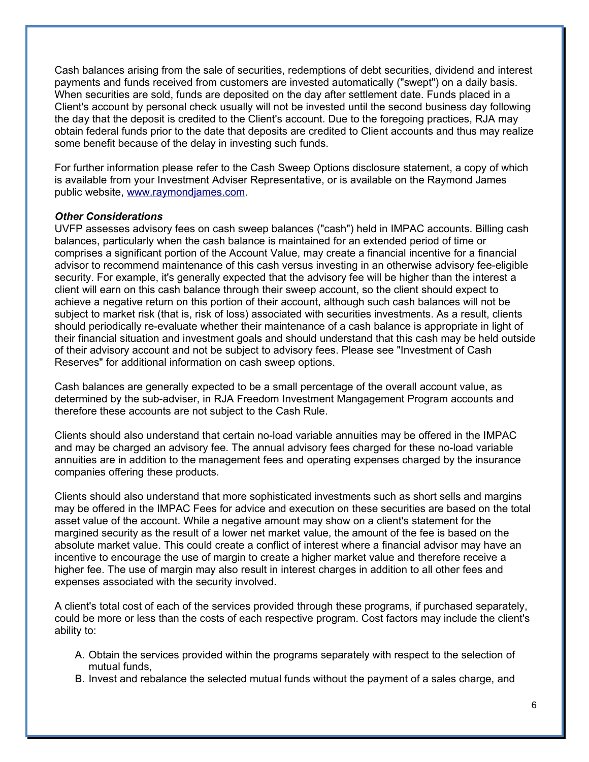Cash balances arising from the sale of securities, redemptions of debt securities, dividend and interest payments and funds received from customers are invested automatically ("swept") on a daily basis. When securities are sold, funds are deposited on the day after settlement date. Funds placed in a Client's account by personal check usually will not be invested until the second business day following the day that the deposit is credited to the Client's account. Due to the foregoing practices, RJA may obtain federal funds prior to the date that deposits are credited to Client accounts and thus may realize some benefit because of the delay in investing such funds.

For further information please refer to the Cash Sweep Options disclosure statement, a copy of which is available from your Investment Adviser Representative, or is available on the Raymond James public website, [www.raymondjames.com.](http://www.raymondjames.com/)

### *Other Considerations*

UVFP assesses advisory fees on cash sweep balances ("cash") held in IMPAC accounts. Billing cash balances, particularly when the cash balance is maintained for an extended period of time or comprises a significant portion of the Account Value, may create a financial incentive for a financial advisor to recommend maintenance of this cash versus investing in an otherwise advisory fee-eligible security. For example, it's generally expected that the advisory fee will be higher than the interest a client will earn on this cash balance through their sweep account, so the client should expect to achieve a negative return on this portion of their account, although such cash balances will not be subject to market risk (that is, risk of loss) associated with securities investments. As a result, clients should periodically re-evaluate whether their maintenance of a cash balance is appropriate in light of their financial situation and investment goals and should understand that this cash may be held outside of their advisory account and not be subject to advisory fees. Please see "Investment of Cash Reserves" for additional information on cash sweep options.

Cash balances are generally expected to be a small percentage of the overall account value, as determined by the sub-adviser, in RJA Freedom Investment Mangagement Program accounts and therefore these accounts are not subject to the Cash Rule.

Clients should also understand that certain no-load variable annuities may be offered in the IMPAC and may be charged an advisory fee. The annual advisory fees charged for these no-load variable annuities are in addition to the management fees and operating expenses charged by the insurance companies offering these products.

Clients should also understand that more sophisticated investments such as short sells and margins may be offered in the IMPAC Fees for advice and execution on these securities are based on the total asset value of the account. While a negative amount may show on a client's statement for the margined security as the result of a lower net market value, the amount of the fee is based on the absolute market value. This could create a conflict of interest where a financial advisor may have an incentive to encourage the use of margin to create a higher market value and therefore receive a higher fee. The use of margin may also result in interest charges in addition to all other fees and expenses associated with the security involved.

A client's total cost of each of the services provided through these programs, if purchased separately, could be more or less than the costs of each respective program. Cost factors may include the client's ability to:

- A. Obtain the services provided within the programs separately with respect to the selection of mutual funds,
- B. Invest and rebalance the selected mutual funds without the payment of a sales charge, and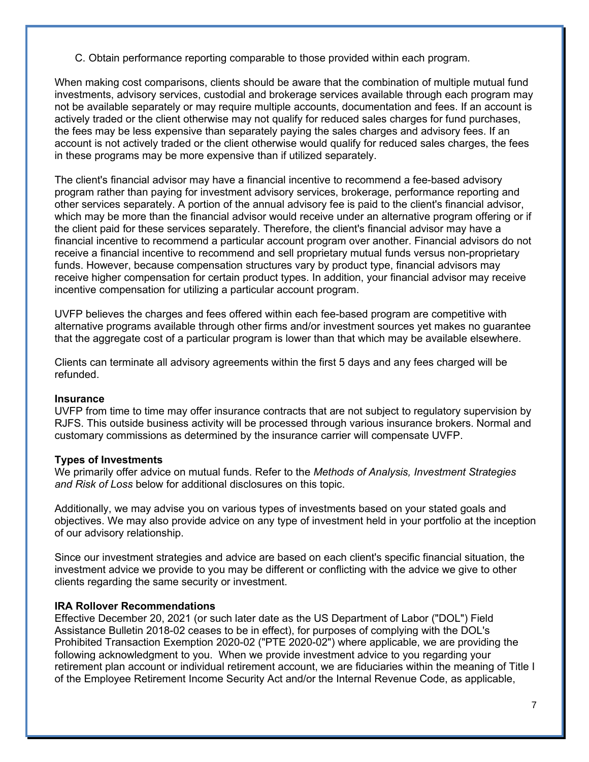C. Obtain performance reporting comparable to those provided within each program.

When making cost comparisons, clients should be aware that the combination of multiple mutual fund investments, advisory services, custodial and brokerage services available through each program may not be available separately or may require multiple accounts, documentation and fees. If an account is actively traded or the client otherwise may not qualify for reduced sales charges for fund purchases, the fees may be less expensive than separately paying the sales charges and advisory fees. If an account is not actively traded or the client otherwise would qualify for reduced sales charges, the fees in these programs may be more expensive than if utilized separately.

The client's financial advisor may have a financial incentive to recommend a fee-based advisory program rather than paying for investment advisory services, brokerage, performance reporting and other services separately. A portion of the annual advisory fee is paid to the client's financial advisor, which may be more than the financial advisor would receive under an alternative program offering or if the client paid for these services separately. Therefore, the client's financial advisor may have a financial incentive to recommend a particular account program over another. Financial advisors do not receive a financial incentive to recommend and sell proprietary mutual funds versus non-proprietary funds. However, because compensation structures vary by product type, financial advisors may receive higher compensation for certain product types. In addition, your financial advisor may receive incentive compensation for utilizing a particular account program.

UVFP believes the charges and fees offered within each fee-based program are competitive with alternative programs available through other firms and/or investment sources yet makes no guarantee that the aggregate cost of a particular program is lower than that which may be available elsewhere.

Clients can terminate all advisory agreements within the first 5 days and any fees charged will be refunded.

### **Insurance**

UVFP from time to time may offer insurance contracts that are not subject to regulatory supervision by RJFS. This outside business activity will be processed through various insurance brokers. Normal and customary commissions as determined by the insurance carrier will compensate UVFP.

### **Types of Investments**

We primarily offer advice on mutual funds. Refer to the *Methods of Analysis, Investment Strategies and Risk of Loss* below for additional disclosures on this topic.

Additionally, we may advise you on various types of investments based on your stated goals and objectives. We may also provide advice on any type of investment held in your portfolio at the inception of our advisory relationship.

Since our investment strategies and advice are based on each client's specific financial situation, the investment advice we provide to you may be different or conflicting with the advice we give to other clients regarding the same security or investment.

### **IRA Rollover Recommendations**

Effective December 20, 2021 (or such later date as the US Department of Labor ("DOL") Field Assistance Bulletin 2018-02 ceases to be in effect), for purposes of complying with the DOL's Prohibited Transaction Exemption 2020-02 ("PTE 2020-02") where applicable, we are providing the following acknowledgment to you. When we provide investment advice to you regarding your retirement plan account or individual retirement account, we are fiduciaries within the meaning of Title I of the Employee Retirement Income Security Act and/or the Internal Revenue Code, as applicable,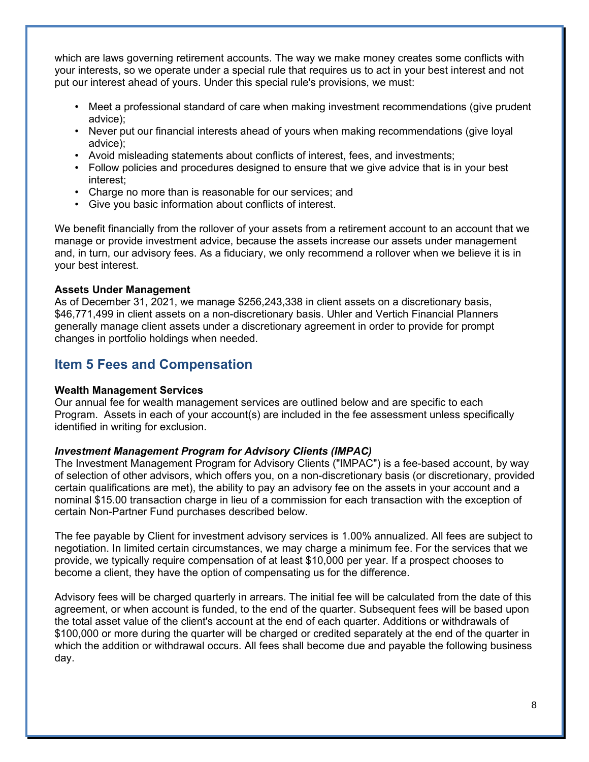which are laws governing retirement accounts. The way we make money creates some conflicts with your interests, so we operate under a special rule that requires us to act in your best interest and not put our interest ahead of yours. Under this special rule's provisions, we must:

- Meet a professional standard of care when making investment recommendations (give prudent advice);
- Never put our financial interests ahead of yours when making recommendations (give loyal advice);
- Avoid misleading statements about conflicts of interest, fees, and investments;
- Follow policies and procedures designed to ensure that we give advice that is in your best interest;
- Charge no more than is reasonable for our services; and
- Give you basic information about conflicts of interest.

We benefit financially from the rollover of your assets from a retirement account to an account that we manage or provide investment advice, because the assets increase our assets under management and, in turn, our advisory fees. As a fiduciary, we only recommend a rollover when we believe it is in your best interest.

### **Assets Under Management**

As of December 31, 2021, we manage \$256,243,338 in client assets on a discretionary basis, \$46,771,499 in client assets on a non-discretionary basis. Uhler and Vertich Financial Planners generally manage client assets under a discretionary agreement in order to provide for prompt changes in portfolio holdings when needed.

# **Item 5 Fees and Compensation**

### **Wealth Management Services**

Our annual fee for wealth management services are outlined below and are specific to each Program. Assets in each of your account(s) are included in the fee assessment unless specifically identified in writing for exclusion.

## *Investment Management Program for Advisory Clients (IMPAC)*

The Investment Management Program for Advisory Clients ("IMPAC") is a fee-based account, by way of selection of other advisors, which offers you, on a non-discretionary basis (or discretionary, provided certain qualifications are met), the ability to pay an advisory fee on the assets in your account and a nominal \$15.00 transaction charge in lieu of a commission for each transaction with the exception of certain Non-Partner Fund purchases described below.

The fee payable by Client for investment advisory services is 1.00% annualized. All fees are subject to negotiation. In limited certain circumstances, we may charge a minimum fee. For the services that we provide, we typically require compensation of at least \$10,000 per year. If a prospect chooses to become a client, they have the option of compensating us for the difference.

Advisory fees will be charged quarterly in arrears. The initial fee will be calculated from the date of this agreement, or when account is funded, to the end of the quarter. Subsequent fees will be based upon the total asset value of the client's account at the end of each quarter. Additions or withdrawals of \$100,000 or more during the quarter will be charged or credited separately at the end of the quarter in which the addition or withdrawal occurs. All fees shall become due and payable the following business day.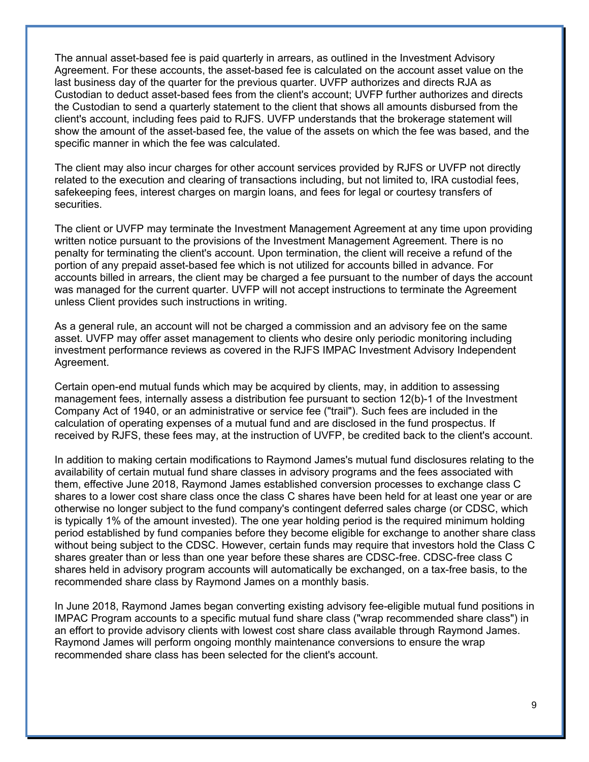The annual asset-based fee is paid quarterly in arrears, as outlined in the Investment Advisory Agreement. For these accounts, the asset-based fee is calculated on the account asset value on the last business day of the quarter for the previous quarter. UVFP authorizes and directs RJA as Custodian to deduct asset-based fees from the client's account; UVFP further authorizes and directs the Custodian to send a quarterly statement to the client that shows all amounts disbursed from the client's account, including fees paid to RJFS. UVFP understands that the brokerage statement will show the amount of the asset-based fee, the value of the assets on which the fee was based, and the specific manner in which the fee was calculated.

The client may also incur charges for other account services provided by RJFS or UVFP not directly related to the execution and clearing of transactions including, but not limited to, IRA custodial fees, safekeeping fees, interest charges on margin loans, and fees for legal or courtesy transfers of securities.

The client or UVFP may terminate the Investment Management Agreement at any time upon providing written notice pursuant to the provisions of the Investment Management Agreement. There is no penalty for terminating the client's account. Upon termination, the client will receive a refund of the portion of any prepaid asset-based fee which is not utilized for accounts billed in advance. For accounts billed in arrears, the client may be charged a fee pursuant to the number of days the account was managed for the current quarter. UVFP will not accept instructions to terminate the Agreement unless Client provides such instructions in writing.

As a general rule, an account will not be charged a commission and an advisory fee on the same asset. UVFP may offer asset management to clients who desire only periodic monitoring including investment performance reviews as covered in the RJFS IMPAC Investment Advisory Independent Agreement.

Certain open-end mutual funds which may be acquired by clients, may, in addition to assessing management fees, internally assess a distribution fee pursuant to section 12(b)-1 of the Investment Company Act of 1940, or an administrative or service fee ("trail"). Such fees are included in the calculation of operating expenses of a mutual fund and are disclosed in the fund prospectus. If received by RJFS, these fees may, at the instruction of UVFP, be credited back to the client's account.

In addition to making certain modifications to Raymond James's mutual fund disclosures relating to the availability of certain mutual fund share classes in advisory programs and the fees associated with them, effective June 2018, Raymond James established conversion processes to exchange class C shares to a lower cost share class once the class C shares have been held for at least one year or are otherwise no longer subject to the fund company's contingent deferred sales charge (or CDSC, which is typically 1% of the amount invested). The one year holding period is the required minimum holding period established by fund companies before they become eligible for exchange to another share class without being subject to the CDSC. However, certain funds may require that investors hold the Class C shares greater than or less than one year before these shares are CDSC-free. CDSC-free class C shares held in advisory program accounts will automatically be exchanged, on a tax-free basis, to the recommended share class by Raymond James on a monthly basis.

In June 2018, Raymond James began converting existing advisory fee-eligible mutual fund positions in IMPAC Program accounts to a specific mutual fund share class ("wrap recommended share class") in an effort to provide advisory clients with lowest cost share class available through Raymond James. Raymond James will perform ongoing monthly maintenance conversions to ensure the wrap recommended share class has been selected for the client's account.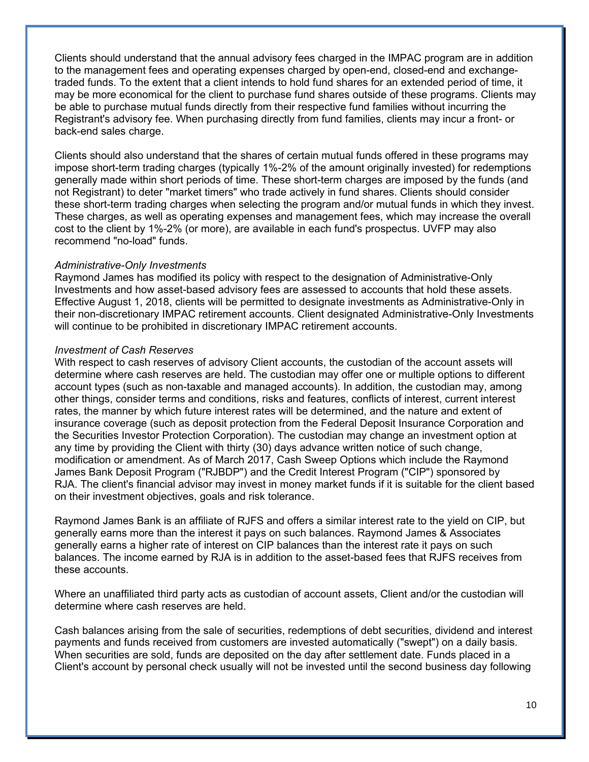Clients should understand that the annual advisory fees charged in the IMPAC program are in addition to the management fees and operating expenses charged by open-end, closed-end and exchangetraded funds. To the extent that a client intends to hold fund shares for an extended period of time, it may be more economical for the client to purchase fund shares outside of these programs. Clients may be able to purchase mutual funds directly from their respective fund families without incurring the Registrant's advisory fee. When purchasing directly from fund families, clients may incur a front- or back-end sales charge.

Clients should also understand that the shares of certain mutual funds offered in these programs may impose short-term trading charges (typically 1%-2% of the amount originally invested) for redemptions generally made within short periods of time. These short-term charges are imposed by the funds (and not Registrant) to deter "market timers" who trade actively in fund shares. Clients should consider these short-term trading charges when selecting the program and/or mutual funds in which they invest. These charges, as well as operating expenses and management fees, which may increase the overall cost to the client by 1%-2% (or more), are available in each fund's prospectus. UVFP may also recommend "no-load" funds.

### *Administrative-Only Investments*

Raymond James has modified its policy with respect to the designation of Administrative-Only Investments and how asset-based advisory fees are assessed to accounts that hold these assets. Effective August 1, 2018, clients will be permitted to designate investments as Administrative-Only in their non-discretionary IMPAC retirement accounts. Client designated Administrative-Only Investments will continue to be prohibited in discretionary IMPAC retirement accounts.

### *Investment of Cash Reserves*

With respect to cash reserves of advisory Client accounts, the custodian of the account assets will determine where cash reserves are held. The custodian may offer one or multiple options to different account types (such as non-taxable and managed accounts). In addition, the custodian may, among other things, consider terms and conditions, risks and features, conflicts of interest, current interest rates, the manner by which future interest rates will be determined, and the nature and extent of insurance coverage (such as deposit protection from the Federal Deposit Insurance Corporation and the Securities Investor Protection Corporation). The custodian may change an investment option at any time by providing the Client with thirty (30) days advance written notice of such change, modification or amendment. As of March 2017, Cash Sweep Options which include the Raymond James Bank Deposit Program ("RJBDP") and the Credit Interest Program ("CIP") sponsored by RJA. The client's financial advisor may invest in money market funds if it is suitable for the client based on their investment objectives, goals and risk tolerance.

Raymond James Bank is an affiliate of RJFS and offers a similar interest rate to the yield on CIP, but generally earns more than the interest it pays on such balances. Raymond James & Associates generally earns a higher rate of interest on CIP balances than the interest rate it pays on such balances. The income earned by RJA is in addition to the asset-based fees that RJFS receives from these accounts.

Where an unaffiliated third party acts as custodian of account assets, Client and/or the custodian will determine where cash reserves are held.

Cash balances arising from the sale of securities, redemptions of debt securities, dividend and interest payments and funds received from customers are invested automatically ("swept") on a daily basis. When securities are sold, funds are deposited on the day after settlement date. Funds placed in a Client's account by personal check usually will not be invested until the second business day following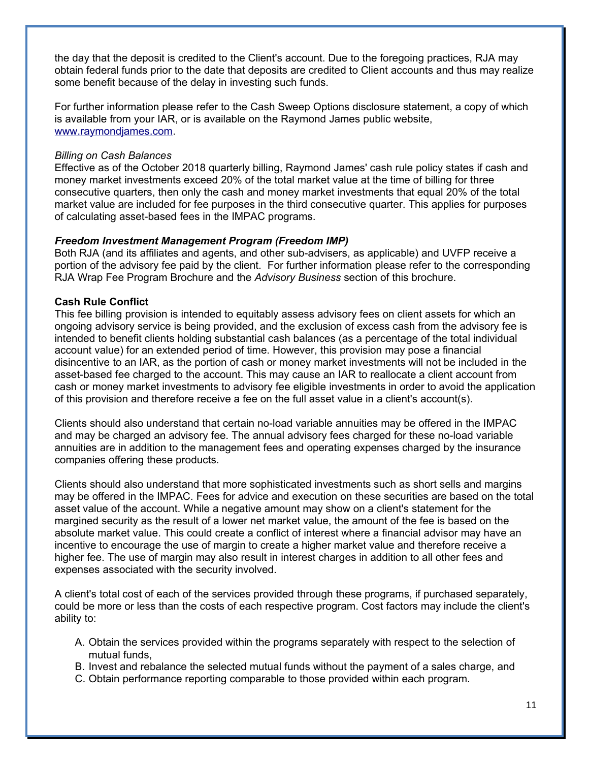the day that the deposit is credited to the Client's account. Due to the foregoing practices, RJA may obtain federal funds prior to the date that deposits are credited to Client accounts and thus may realize some benefit because of the delay in investing such funds.

For further information please refer to the Cash Sweep Options disclosure statement, a copy of which is available from your IAR, or is available on the Raymond James public website, [www.raymondjames.com.](http://www.raymondjames.com/)

### *Billing on Cash Balances*

Effective as of the October 2018 quarterly billing, Raymond James' cash rule policy states if cash and money market investments exceed 20% of the total market value at the time of billing for three consecutive quarters, then only the cash and money market investments that equal 20% of the total market value are included for fee purposes in the third consecutive quarter. This applies for purposes of calculating asset-based fees in the IMPAC programs.

#### *Freedom Investment Management Program (Freedom IMP)*

Both RJA (and its affiliates and agents, and other sub-advisers, as applicable) and UVFP receive a portion of the advisory fee paid by the client. For further information please refer to the corresponding RJA Wrap Fee Program Brochure and the *Advisory Business* section of this brochure.

#### **Cash Rule Conflict**

This fee billing provision is intended to equitably assess advisory fees on client assets for which an ongoing advisory service is being provided, and the exclusion of excess cash from the advisory fee is intended to benefit clients holding substantial cash balances (as a percentage of the total individual account value) for an extended period of time. However, this provision may pose a financial disincentive to an IAR, as the portion of cash or money market investments will not be included in the asset-based fee charged to the account. This may cause an IAR to reallocate a client account from cash or money market investments to advisory fee eligible investments in order to avoid the application of this provision and therefore receive a fee on the full asset value in a client's account(s).

Clients should also understand that certain no-load variable annuities may be offered in the IMPAC and may be charged an advisory fee. The annual advisory fees charged for these no-load variable annuities are in addition to the management fees and operating expenses charged by the insurance companies offering these products.

Clients should also understand that more sophisticated investments such as short sells and margins may be offered in the IMPAC. Fees for advice and execution on these securities are based on the total asset value of the account. While a negative amount may show on a client's statement for the margined security as the result of a lower net market value, the amount of the fee is based on the absolute market value. This could create a conflict of interest where a financial advisor may have an incentive to encourage the use of margin to create a higher market value and therefore receive a higher fee. The use of margin may also result in interest charges in addition to all other fees and expenses associated with the security involved.

A client's total cost of each of the services provided through these programs, if purchased separately, could be more or less than the costs of each respective program. Cost factors may include the client's ability to:

- A. Obtain the services provided within the programs separately with respect to the selection of mutual funds,
- B. Invest and rebalance the selected mutual funds without the payment of a sales charge, and
- C. Obtain performance reporting comparable to those provided within each program.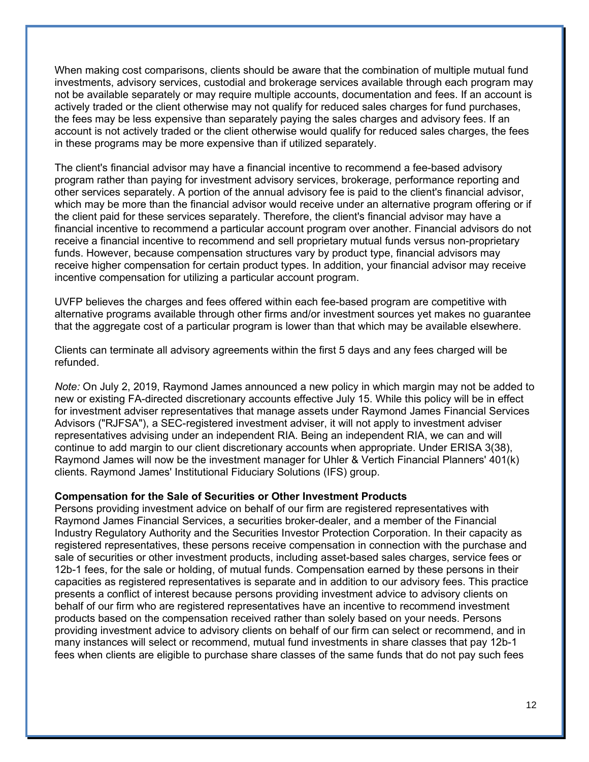When making cost comparisons, clients should be aware that the combination of multiple mutual fund investments, advisory services, custodial and brokerage services available through each program may not be available separately or may require multiple accounts, documentation and fees. If an account is actively traded or the client otherwise may not qualify for reduced sales charges for fund purchases, the fees may be less expensive than separately paying the sales charges and advisory fees. If an account is not actively traded or the client otherwise would qualify for reduced sales charges, the fees in these programs may be more expensive than if utilized separately.

The client's financial advisor may have a financial incentive to recommend a fee-based advisory program rather than paying for investment advisory services, brokerage, performance reporting and other services separately. A portion of the annual advisory fee is paid to the client's financial advisor, which may be more than the financial advisor would receive under an alternative program offering or if the client paid for these services separately. Therefore, the client's financial advisor may have a financial incentive to recommend a particular account program over another. Financial advisors do not receive a financial incentive to recommend and sell proprietary mutual funds versus non-proprietary funds. However, because compensation structures vary by product type, financial advisors may receive higher compensation for certain product types. In addition, your financial advisor may receive incentive compensation for utilizing a particular account program.

UVFP believes the charges and fees offered within each fee-based program are competitive with alternative programs available through other firms and/or investment sources yet makes no guarantee that the aggregate cost of a particular program is lower than that which may be available elsewhere.

Clients can terminate all advisory agreements within the first 5 days and any fees charged will be refunded.

*Note:* On July 2, 2019, Raymond James announced a new policy in which margin may not be added to new or existing FA-directed discretionary accounts effective July 15. While this policy will be in effect for investment adviser representatives that manage assets under Raymond James Financial Services Advisors ("RJFSA"), a SEC-registered investment adviser, it will not apply to investment adviser representatives advising under an independent RIA. Being an independent RIA, we can and will continue to add margin to our client discretionary accounts when appropriate. Under ERISA 3(38), Raymond James will now be the investment manager for Uhler & Vertich Financial Planners' 401(k) clients. Raymond James' Institutional Fiduciary Solutions (IFS) group.

#### **Compensation for the Sale of Securities or Other Investment Products**

Persons providing investment advice on behalf of our firm are registered representatives with Raymond James Financial Services, a securities broker-dealer, and a member of the Financial Industry Regulatory Authority and the Securities Investor Protection Corporation. In their capacity as registered representatives, these persons receive compensation in connection with the purchase and sale of securities or other investment products, including asset-based sales charges, service fees or 12b-1 fees, for the sale or holding, of mutual funds. Compensation earned by these persons in their capacities as registered representatives is separate and in addition to our advisory fees. This practice presents a conflict of interest because persons providing investment advice to advisory clients on behalf of our firm who are registered representatives have an incentive to recommend investment products based on the compensation received rather than solely based on your needs. Persons providing investment advice to advisory clients on behalf of our firm can select or recommend, and in many instances will select or recommend, mutual fund investments in share classes that pay 12b-1 fees when clients are eligible to purchase share classes of the same funds that do not pay such fees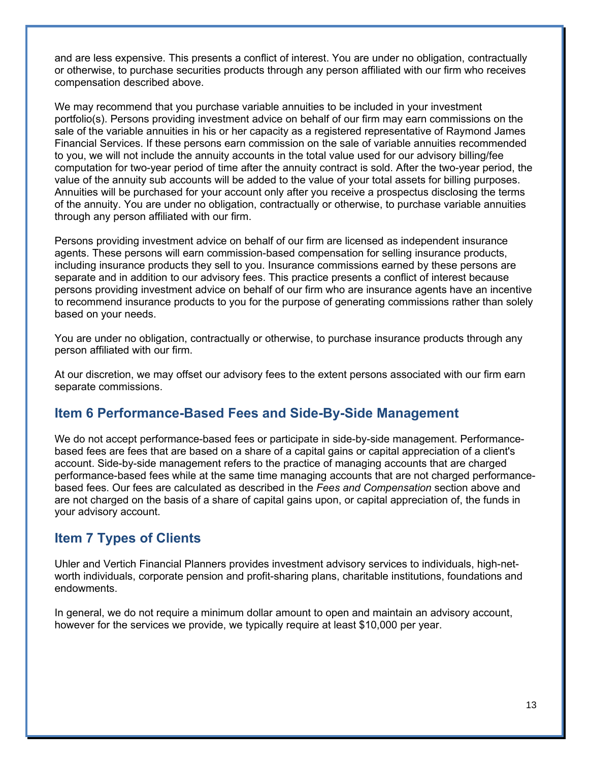and are less expensive. This presents a conflict of interest. You are under no obligation, contractually or otherwise, to purchase securities products through any person affiliated with our firm who receives compensation described above.

We may recommend that you purchase variable annuities to be included in your investment portfolio(s). Persons providing investment advice on behalf of our firm may earn commissions on the sale of the variable annuities in his or her capacity as a registered representative of Raymond James Financial Services. If these persons earn commission on the sale of variable annuities recommended to you, we will not include the annuity accounts in the total value used for our advisory billing/fee computation for two-year period of time after the annuity contract is sold. After the two-year period, the value of the annuity sub accounts will be added to the value of your total assets for billing purposes. Annuities will be purchased for your account only after you receive a prospectus disclosing the terms of the annuity. You are under no obligation, contractually or otherwise, to purchase variable annuities through any person affiliated with our firm.

Persons providing investment advice on behalf of our firm are licensed as independent insurance agents. These persons will earn commission-based compensation for selling insurance products, including insurance products they sell to you. Insurance commissions earned by these persons are separate and in addition to our advisory fees. This practice presents a conflict of interest because persons providing investment advice on behalf of our firm who are insurance agents have an incentive to recommend insurance products to you for the purpose of generating commissions rather than solely based on your needs.

You are under no obligation, contractually or otherwise, to purchase insurance products through any person affiliated with our firm.

At our discretion, we may offset our advisory fees to the extent persons associated with our firm earn separate commissions.

# **Item 6 Performance-Based Fees and Side-By-Side Management**

We do not accept performance-based fees or participate in side-by-side management. Performancebased fees are fees that are based on a share of a capital gains or capital appreciation of a client's account. Side-by-side management refers to the practice of managing accounts that are charged performance-based fees while at the same time managing accounts that are not charged performancebased fees. Our fees are calculated as described in the *Fees and Compensation* section above and are not charged on the basis of a share of capital gains upon, or capital appreciation of, the funds in your advisory account.

# **Item 7 Types of Clients**

Uhler and Vertich Financial Planners provides investment advisory services to individuals, high-networth individuals, corporate pension and profit-sharing plans, charitable institutions, foundations and endowments.

In general, we do not require a minimum dollar amount to open and maintain an advisory account, however for the services we provide, we typically require at least \$10,000 per year.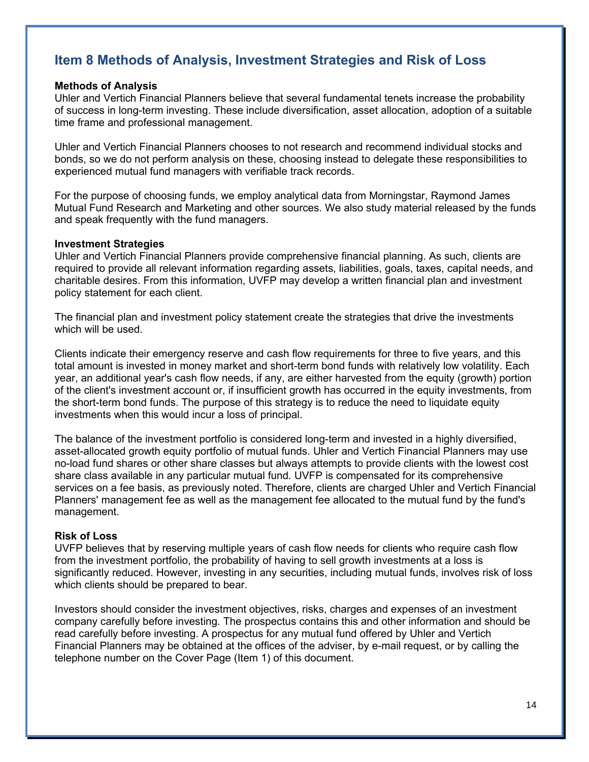# **Item 8 Methods of Analysis, Investment Strategies and Risk of Loss**

### **Methods of Analysis**

Uhler and Vertich Financial Planners believe that several fundamental tenets increase the probability of success in long-term investing. These include diversification, asset allocation, adoption of a suitable time frame and professional management.

Uhler and Vertich Financial Planners chooses to not research and recommend individual stocks and bonds, so we do not perform analysis on these, choosing instead to delegate these responsibilities to experienced mutual fund managers with verifiable track records.

For the purpose of choosing funds, we employ analytical data from Morningstar, Raymond James Mutual Fund Research and Marketing and other sources. We also study material released by the funds and speak frequently with the fund managers.

### **Investment Strategies**

Uhler and Vertich Financial Planners provide comprehensive financial planning. As such, clients are required to provide all relevant information regarding assets, liabilities, goals, taxes, capital needs, and charitable desires. From this information, UVFP may develop a written financial plan and investment policy statement for each client.

The financial plan and investment policy statement create the strategies that drive the investments which will be used.

Clients indicate their emergency reserve and cash flow requirements for three to five years, and this total amount is invested in money market and short-term bond funds with relatively low volatility. Each year, an additional year's cash flow needs, if any, are either harvested from the equity (growth) portion of the client's investment account or, if insufficient growth has occurred in the equity investments, from the short-term bond funds. The purpose of this strategy is to reduce the need to liquidate equity investments when this would incur a loss of principal.

The balance of the investment portfolio is considered long-term and invested in a highly diversified, asset-allocated growth equity portfolio of mutual funds. Uhler and Vertich Financial Planners may use no-load fund shares or other share classes but always attempts to provide clients with the lowest cost share class available in any particular mutual fund. UVFP is compensated for its comprehensive services on a fee basis, as previously noted. Therefore, clients are charged Uhler and Vertich Financial Planners' management fee as well as the management fee allocated to the mutual fund by the fund's management.

## **Risk of Loss**

UVFP believes that by reserving multiple years of cash flow needs for clients who require cash flow from the investment portfolio, the probability of having to sell growth investments at a loss is significantly reduced. However, investing in any securities, including mutual funds, involves risk of loss which clients should be prepared to bear.

Investors should consider the investment objectives, risks, charges and expenses of an investment company carefully before investing. The prospectus contains this and other information and should be read carefully before investing. A prospectus for any mutual fund offered by Uhler and Vertich Financial Planners may be obtained at the offices of the adviser, by e-mail request, or by calling the telephone number on the Cover Page (Item 1) of this document.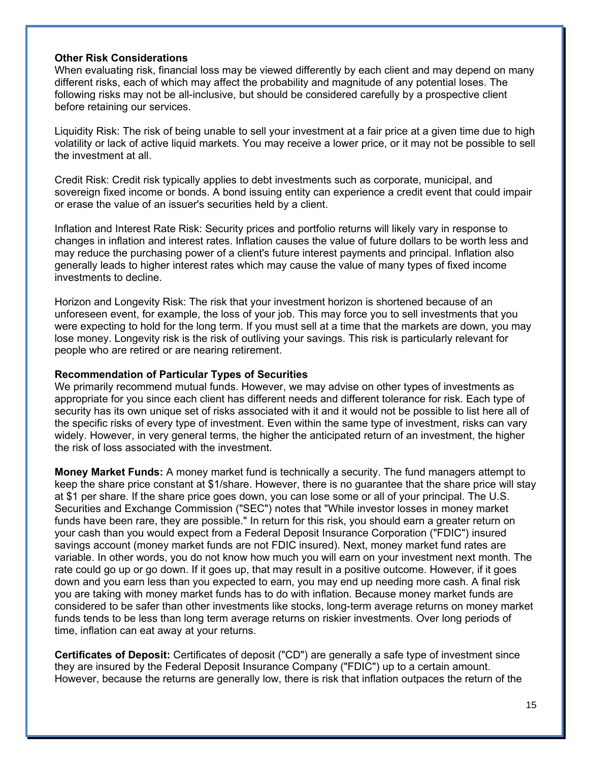### **Other Risk Considerations**

When evaluating risk, financial loss may be viewed differently by each client and may depend on many different risks, each of which may affect the probability and magnitude of any potential loses. The following risks may not be all-inclusive, but should be considered carefully by a prospective client before retaining our services.

Liquidity Risk: The risk of being unable to sell your investment at a fair price at a given time due to high volatility or lack of active liquid markets. You may receive a lower price, or it may not be possible to sell the investment at all.

Credit Risk: Credit risk typically applies to debt investments such as corporate, municipal, and sovereign fixed income or bonds. A bond issuing entity can experience a credit event that could impair or erase the value of an issuer's securities held by a client.

Inflation and Interest Rate Risk: Security prices and portfolio returns will likely vary in response to changes in inflation and interest rates. Inflation causes the value of future dollars to be worth less and may reduce the purchasing power of a client's future interest payments and principal. Inflation also generally leads to higher interest rates which may cause the value of many types of fixed income investments to decline.

Horizon and Longevity Risk: The risk that your investment horizon is shortened because of an unforeseen event, for example, the loss of your job. This may force you to sell investments that you were expecting to hold for the long term. If you must sell at a time that the markets are down, you may lose money. Longevity risk is the risk of outliving your savings. This risk is particularly relevant for people who are retired or are nearing retirement.

#### **Recommendation of Particular Types of Securities**

We primarily recommend mutual funds. However, we may advise on other types of investments as appropriate for you since each client has different needs and different tolerance for risk. Each type of security has its own unique set of risks associated with it and it would not be possible to list here all of the specific risks of every type of investment. Even within the same type of investment, risks can vary widely. However, in very general terms, the higher the anticipated return of an investment, the higher the risk of loss associated with the investment.

**Money Market Funds:** A money market fund is technically a security. The fund managers attempt to keep the share price constant at \$1/share. However, there is no guarantee that the share price will stay at \$1 per share. If the share price goes down, you can lose some or all of your principal. The U.S. Securities and Exchange Commission ("SEC") notes that "While investor losses in money market funds have been rare, they are possible." In return for this risk, you should earn a greater return on your cash than you would expect from a Federal Deposit Insurance Corporation ("FDIC") insured savings account (money market funds are not FDIC insured). Next, money market fund rates are variable. In other words, you do not know how much you will earn on your investment next month. The rate could go up or go down. If it goes up, that may result in a positive outcome. However, if it goes down and you earn less than you expected to earn, you may end up needing more cash. A final risk you are taking with money market funds has to do with inflation. Because money market funds are considered to be safer than other investments like stocks, long-term average returns on money market funds tends to be less than long term average returns on riskier investments. Over long periods of time, inflation can eat away at your returns.

**Certificates of Deposit:** Certificates of deposit ("CD") are generally a safe type of investment since they are insured by the Federal Deposit Insurance Company ("FDIC") up to a certain amount. However, because the returns are generally low, there is risk that inflation outpaces the return of the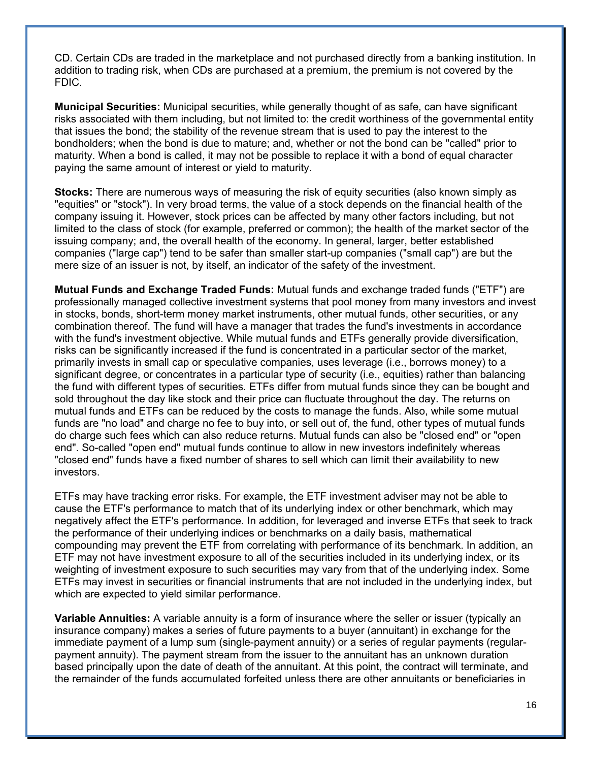CD. Certain CDs are traded in the marketplace and not purchased directly from a banking institution. In addition to trading risk, when CDs are purchased at a premium, the premium is not covered by the FDIC.

**Municipal Securities:** Municipal securities, while generally thought of as safe, can have significant risks associated with them including, but not limited to: the credit worthiness of the governmental entity that issues the bond; the stability of the revenue stream that is used to pay the interest to the bondholders; when the bond is due to mature; and, whether or not the bond can be "called" prior to maturity. When a bond is called, it may not be possible to replace it with a bond of equal character paying the same amount of interest or yield to maturity.

**Stocks:** There are numerous ways of measuring the risk of equity securities (also known simply as "equities" or "stock"). In very broad terms, the value of a stock depends on the financial health of the company issuing it. However, stock prices can be affected by many other factors including, but not limited to the class of stock (for example, preferred or common); the health of the market sector of the issuing company; and, the overall health of the economy. In general, larger, better established companies ("large cap") tend to be safer than smaller start-up companies ("small cap") are but the mere size of an issuer is not, by itself, an indicator of the safety of the investment.

**Mutual Funds and Exchange Traded Funds:** Mutual funds and exchange traded funds ("ETF") are professionally managed collective investment systems that pool money from many investors and invest in stocks, bonds, short-term money market instruments, other mutual funds, other securities, or any combination thereof. The fund will have a manager that trades the fund's investments in accordance with the fund's investment objective. While mutual funds and ETFs generally provide diversification, risks can be significantly increased if the fund is concentrated in a particular sector of the market, primarily invests in small cap or speculative companies, uses leverage (i.e., borrows money) to a significant degree, or concentrates in a particular type of security (i.e., equities) rather than balancing the fund with different types of securities. ETFs differ from mutual funds since they can be bought and sold throughout the day like stock and their price can fluctuate throughout the day. The returns on mutual funds and ETFs can be reduced by the costs to manage the funds. Also, while some mutual funds are "no load" and charge no fee to buy into, or sell out of, the fund, other types of mutual funds do charge such fees which can also reduce returns. Mutual funds can also be "closed end" or "open end". So-called "open end" mutual funds continue to allow in new investors indefinitely whereas "closed end" funds have a fixed number of shares to sell which can limit their availability to new investors.

ETFs may have tracking error risks. For example, the ETF investment adviser may not be able to cause the ETF's performance to match that of its underlying index or other benchmark, which may negatively affect the ETF's performance. In addition, for leveraged and inverse ETFs that seek to track the performance of their underlying indices or benchmarks on a daily basis, mathematical compounding may prevent the ETF from correlating with performance of its benchmark. In addition, an ETF may not have investment exposure to all of the securities included in its underlying index, or its weighting of investment exposure to such securities may vary from that of the underlying index. Some ETFs may invest in securities or financial instruments that are not included in the underlying index, but which are expected to yield similar performance.

**Variable Annuities:** A variable annuity is a form of insurance where the seller or issuer (typically an insurance company) makes a series of future payments to a buyer (annuitant) in exchange for the immediate payment of a lump sum (single-payment annuity) or a series of regular payments (regularpayment annuity). The payment stream from the issuer to the annuitant has an unknown duration based principally upon the date of death of the annuitant. At this point, the contract will terminate, and the remainder of the funds accumulated forfeited unless there are other annuitants or beneficiaries in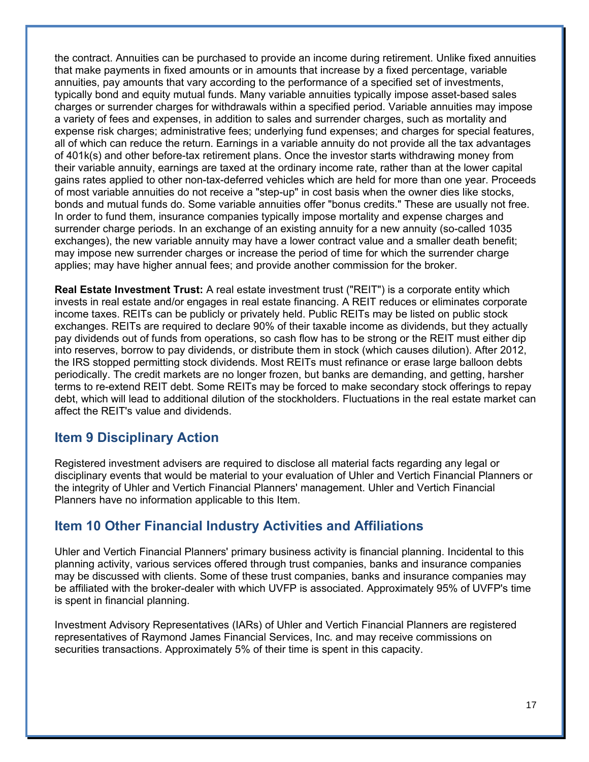the contract. Annuities can be purchased to provide an income during retirement. Unlike fixed annuities that make payments in fixed amounts or in amounts that increase by a fixed percentage, variable annuities, pay amounts that vary according to the performance of a specified set of investments, typically bond and equity mutual funds. Many variable annuities typically impose asset-based sales charges or surrender charges for withdrawals within a specified period. Variable annuities may impose a variety of fees and expenses, in addition to sales and surrender charges, such as mortality and expense risk charges; administrative fees; underlying fund expenses; and charges for special features, all of which can reduce the return. Earnings in a variable annuity do not provide all the tax advantages of 401k(s) and other before-tax retirement plans. Once the investor starts withdrawing money from their variable annuity, earnings are taxed at the ordinary income rate, rather than at the lower capital gains rates applied to other non-tax-deferred vehicles which are held for more than one year. Proceeds of most variable annuities do not receive a "step-up" in cost basis when the owner dies like stocks, bonds and mutual funds do. Some variable annuities offer "bonus credits." These are usually not free. In order to fund them, insurance companies typically impose mortality and expense charges and surrender charge periods. In an exchange of an existing annuity for a new annuity (so-called 1035 exchanges), the new variable annuity may have a lower contract value and a smaller death benefit; may impose new surrender charges or increase the period of time for which the surrender charge applies; may have higher annual fees; and provide another commission for the broker.

**Real Estate Investment Trust:** A real estate investment trust ("REIT") is a corporate entity which invests in real estate and/or engages in real estate financing. A REIT reduces or eliminates corporate income taxes. REITs can be publicly or privately held. Public REITs may be listed on public stock exchanges. REITs are required to declare 90% of their taxable income as dividends, but they actually pay dividends out of funds from operations, so cash flow has to be strong or the REIT must either dip into reserves, borrow to pay dividends, or distribute them in stock (which causes dilution). After 2012, the IRS stopped permitting stock dividends. Most REITs must refinance or erase large balloon debts periodically. The credit markets are no longer frozen, but banks are demanding, and getting, harsher terms to re-extend REIT debt. Some REITs may be forced to make secondary stock offerings to repay debt, which will lead to additional dilution of the stockholders. Fluctuations in the real estate market can affect the REIT's value and dividends.

# **Item 9 Disciplinary Action**

Registered investment advisers are required to disclose all material facts regarding any legal or disciplinary events that would be material to your evaluation of Uhler and Vertich Financial Planners or the integrity of Uhler and Vertich Financial Planners' management. Uhler and Vertich Financial Planners have no information applicable to this Item.

# **Item 10 Other Financial Industry Activities and Affiliations**

Uhler and Vertich Financial Planners' primary business activity is financial planning. Incidental to this planning activity, various services offered through trust companies, banks and insurance companies may be discussed with clients. Some of these trust companies, banks and insurance companies may be affiliated with the broker-dealer with which UVFP is associated. Approximately 95% of UVFP's time is spent in financial planning.

Investment Advisory Representatives (IARs) of Uhler and Vertich Financial Planners are registered representatives of Raymond James Financial Services, Inc. and may receive commissions on securities transactions. Approximately 5% of their time is spent in this capacity.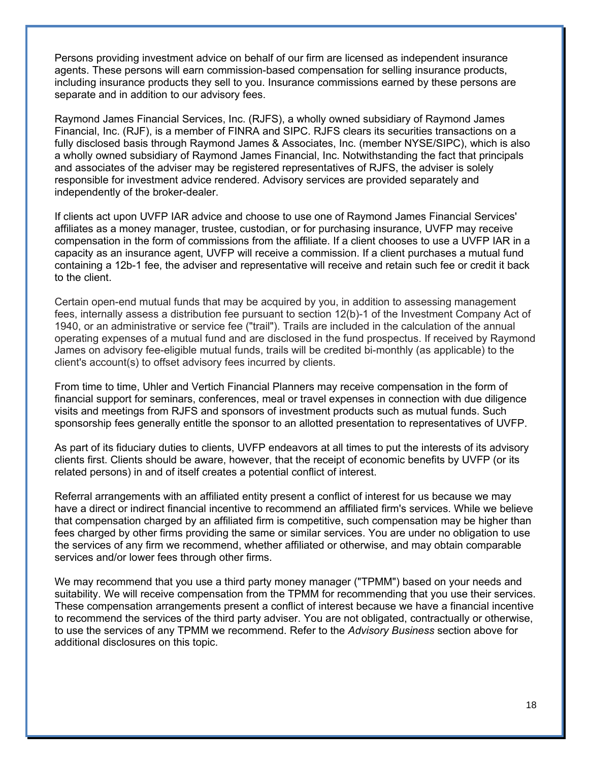Persons providing investment advice on behalf of our firm are licensed as independent insurance agents. These persons will earn commission-based compensation for selling insurance products, including insurance products they sell to you. Insurance commissions earned by these persons are separate and in addition to our advisory fees.

Raymond James Financial Services, Inc. (RJFS), a wholly owned subsidiary of Raymond James Financial, Inc. (RJF), is a member of FINRA and SIPC. RJFS clears its securities transactions on a fully disclosed basis through Raymond James & Associates, Inc. (member NYSE/SIPC), which is also a wholly owned subsidiary of Raymond James Financial, Inc. Notwithstanding the fact that principals and associates of the adviser may be registered representatives of RJFS, the adviser is solely responsible for investment advice rendered. Advisory services are provided separately and independently of the broker-dealer.

If clients act upon UVFP IAR advice and choose to use one of Raymond James Financial Services' affiliates as a money manager, trustee, custodian, or for purchasing insurance, UVFP may receive compensation in the form of commissions from the affiliate. If a client chooses to use a UVFP IAR in a capacity as an insurance agent, UVFP will receive a commission. If a client purchases a mutual fund containing a 12b-1 fee, the adviser and representative will receive and retain such fee or credit it back to the client.

Certain open-end mutual funds that may be acquired by you, in addition to assessing management fees, internally assess a distribution fee pursuant to section 12(b)-1 of the Investment Company Act of 1940, or an administrative or service fee ("trail"). Trails are included in the calculation of the annual operating expenses of a mutual fund and are disclosed in the fund prospectus. If received by Raymond James on advisory fee-eligible mutual funds, trails will be credited bi-monthly (as applicable) to the client's account(s) to offset advisory fees incurred by clients.

From time to time, Uhler and Vertich Financial Planners may receive compensation in the form of financial support for seminars, conferences, meal or travel expenses in connection with due diligence visits and meetings from RJFS and sponsors of investment products such as mutual funds. Such sponsorship fees generally entitle the sponsor to an allotted presentation to representatives of UVFP.

As part of its fiduciary duties to clients, UVFP endeavors at all times to put the interests of its advisory clients first. Clients should be aware, however, that the receipt of economic benefits by UVFP (or its related persons) in and of itself creates a potential conflict of interest.

Referral arrangements with an affiliated entity present a conflict of interest for us because we may have a direct or indirect financial incentive to recommend an affiliated firm's services. While we believe that compensation charged by an affiliated firm is competitive, such compensation may be higher than fees charged by other firms providing the same or similar services. You are under no obligation to use the services of any firm we recommend, whether affiliated or otherwise, and may obtain comparable services and/or lower fees through other firms.

We may recommend that you use a third party money manager ("TPMM") based on your needs and suitability. We will receive compensation from the TPMM for recommending that you use their services. These compensation arrangements present a conflict of interest because we have a financial incentive to recommend the services of the third party adviser. You are not obligated, contractually or otherwise, to use the services of any TPMM we recommend. Refer to the *Advisory Business* section above for additional disclosures on this topic.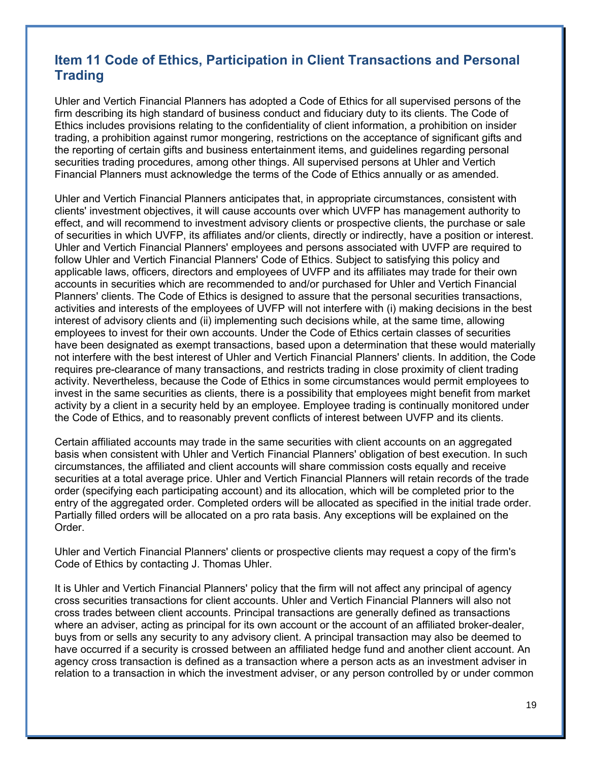# **Item 11 Code of Ethics, Participation in Client Transactions and Personal Trading**

Uhler and Vertich Financial Planners has adopted a Code of Ethics for all supervised persons of the firm describing its high standard of business conduct and fiduciary duty to its clients. The Code of Ethics includes provisions relating to the confidentiality of client information, a prohibition on insider trading, a prohibition against rumor mongering, restrictions on the acceptance of significant gifts and the reporting of certain gifts and business entertainment items, and guidelines regarding personal securities trading procedures, among other things. All supervised persons at Uhler and Vertich Financial Planners must acknowledge the terms of the Code of Ethics annually or as amended.

Uhler and Vertich Financial Planners anticipates that, in appropriate circumstances, consistent with clients' investment objectives, it will cause accounts over which UVFP has management authority to effect, and will recommend to investment advisory clients or prospective clients, the purchase or sale of securities in which UVFP, its affiliates and/or clients, directly or indirectly, have a position or interest. Uhler and Vertich Financial Planners' employees and persons associated with UVFP are required to follow Uhler and Vertich Financial Planners' Code of Ethics. Subject to satisfying this policy and applicable laws, officers, directors and employees of UVFP and its affiliates may trade for their own accounts in securities which are recommended to and/or purchased for Uhler and Vertich Financial Planners' clients. The Code of Ethics is designed to assure that the personal securities transactions, activities and interests of the employees of UVFP will not interfere with (i) making decisions in the best interest of advisory clients and (ii) implementing such decisions while, at the same time, allowing employees to invest for their own accounts. Under the Code of Ethics certain classes of securities have been designated as exempt transactions, based upon a determination that these would materially not interfere with the best interest of Uhler and Vertich Financial Planners' clients. In addition, the Code requires pre-clearance of many transactions, and restricts trading in close proximity of client trading activity. Nevertheless, because the Code of Ethics in some circumstances would permit employees to invest in the same securities as clients, there is a possibility that employees might benefit from market activity by a client in a security held by an employee. Employee trading is continually monitored under the Code of Ethics, and to reasonably prevent conflicts of interest between UVFP and its clients.

Certain affiliated accounts may trade in the same securities with client accounts on an aggregated basis when consistent with Uhler and Vertich Financial Planners' obligation of best execution. In such circumstances, the affiliated and client accounts will share commission costs equally and receive securities at a total average price. Uhler and Vertich Financial Planners will retain records of the trade order (specifying each participating account) and its allocation, which will be completed prior to the entry of the aggregated order. Completed orders will be allocated as specified in the initial trade order. Partially filled orders will be allocated on a pro rata basis. Any exceptions will be explained on the Order.

Uhler and Vertich Financial Planners' clients or prospective clients may request a copy of the firm's Code of Ethics by contacting J. Thomas Uhler.

It is Uhler and Vertich Financial Planners' policy that the firm will not affect any principal of agency cross securities transactions for client accounts. Uhler and Vertich Financial Planners will also not cross trades between client accounts. Principal transactions are generally defined as transactions where an adviser, acting as principal for its own account or the account of an affiliated broker-dealer, buys from or sells any security to any advisory client. A principal transaction may also be deemed to have occurred if a security is crossed between an affiliated hedge fund and another client account. An agency cross transaction is defined as a transaction where a person acts as an investment adviser in relation to a transaction in which the investment adviser, or any person controlled by or under common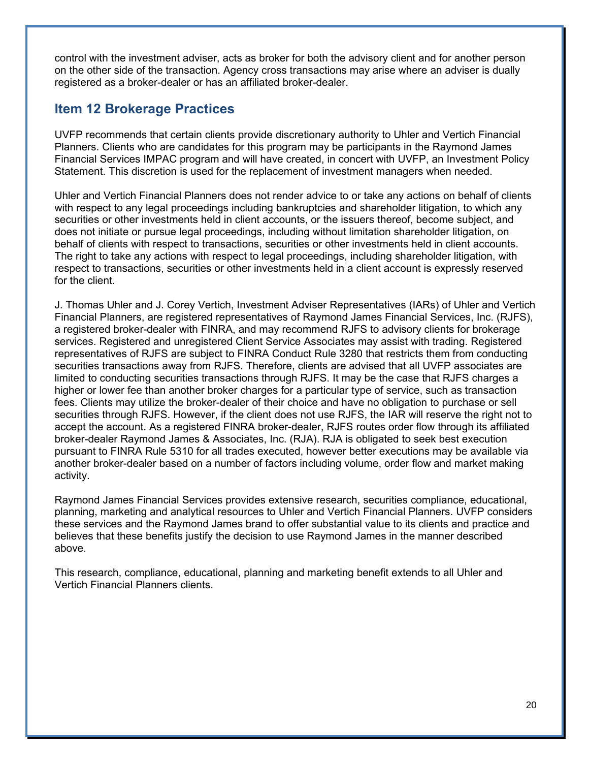control with the investment adviser, acts as broker for both the advisory client and for another person on the other side of the transaction. Agency cross transactions may arise where an adviser is dually registered as a broker-dealer or has an affiliated broker-dealer.

# **Item 12 Brokerage Practices**

UVFP recommends that certain clients provide discretionary authority to Uhler and Vertich Financial Planners. Clients who are candidates for this program may be participants in the Raymond James Financial Services IMPAC program and will have created, in concert with UVFP, an Investment Policy Statement. This discretion is used for the replacement of investment managers when needed.

Uhler and Vertich Financial Planners does not render advice to or take any actions on behalf of clients with respect to any legal proceedings including bankruptcies and shareholder litigation, to which any securities or other investments held in client accounts, or the issuers thereof, become subject, and does not initiate or pursue legal proceedings, including without limitation shareholder litigation, on behalf of clients with respect to transactions, securities or other investments held in client accounts. The right to take any actions with respect to legal proceedings, including shareholder litigation, with respect to transactions, securities or other investments held in a client account is expressly reserved for the client.

J. Thomas Uhler and J. Corey Vertich, Investment Adviser Representatives (IARs) of Uhler and Vertich Financial Planners, are registered representatives of Raymond James Financial Services, Inc. (RJFS), a registered broker-dealer with FINRA, and may recommend RJFS to advisory clients for brokerage services. Registered and unregistered Client Service Associates may assist with trading. Registered representatives of RJFS are subject to FINRA Conduct Rule 3280 that restricts them from conducting securities transactions away from RJFS. Therefore, clients are advised that all UVFP associates are limited to conducting securities transactions through RJFS. It may be the case that RJFS charges a higher or lower fee than another broker charges for a particular type of service, such as transaction fees. Clients may utilize the broker-dealer of their choice and have no obligation to purchase or sell securities through RJFS. However, if the client does not use RJFS, the IAR will reserve the right not to accept the account. As a registered FINRA broker-dealer, RJFS routes order flow through its affiliated broker-dealer Raymond James & Associates, Inc. (RJA). RJA is obligated to seek best execution pursuant to FINRA Rule 5310 for all trades executed, however better executions may be available via another broker-dealer based on a number of factors including volume, order flow and market making activity.

Raymond James Financial Services provides extensive research, securities compliance, educational, planning, marketing and analytical resources to Uhler and Vertich Financial Planners. UVFP considers these services and the Raymond James brand to offer substantial value to its clients and practice and believes that these benefits justify the decision to use Raymond James in the manner described above.

This research, compliance, educational, planning and marketing benefit extends to all Uhler and Vertich Financial Planners clients.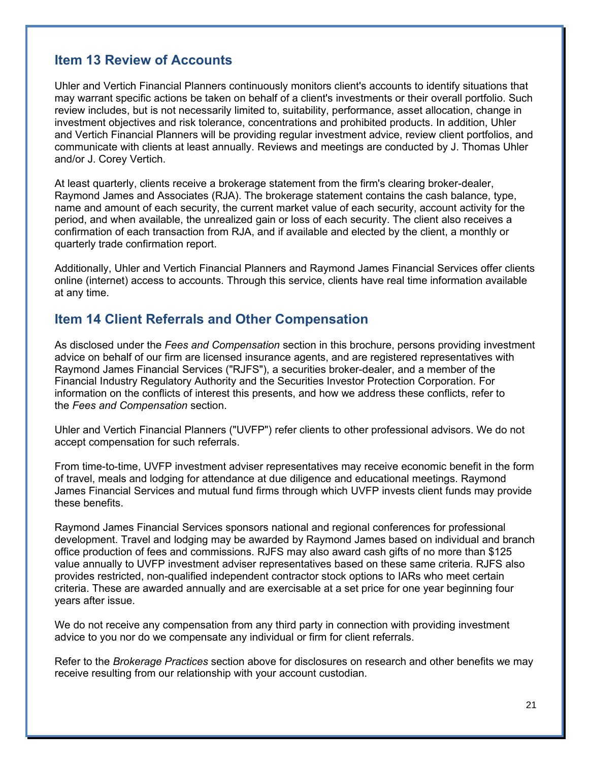# **Item 13 Review of Accounts**

Uhler and Vertich Financial Planners continuously monitors client's accounts to identify situations that may warrant specific actions be taken on behalf of a client's investments or their overall portfolio. Such review includes, but is not necessarily limited to, suitability, performance, asset allocation, change in investment objectives and risk tolerance, concentrations and prohibited products. In addition, Uhler and Vertich Financial Planners will be providing regular investment advice, review client portfolios, and communicate with clients at least annually. Reviews and meetings are conducted by J. Thomas Uhler and/or J. Corey Vertich.

At least quarterly, clients receive a brokerage statement from the firm's clearing broker-dealer, Raymond James and Associates (RJA). The brokerage statement contains the cash balance, type, name and amount of each security, the current market value of each security, account activity for the period, and when available, the unrealized gain or loss of each security. The client also receives a confirmation of each transaction from RJA, and if available and elected by the client, a monthly or quarterly trade confirmation report.

Additionally, Uhler and Vertich Financial Planners and Raymond James Financial Services offer clients online (internet) access to accounts. Through this service, clients have real time information available at any time.

# **Item 14 Client Referrals and Other Compensation**

As disclosed under the *Fees and Compensation* section in this brochure, persons providing investment advice on behalf of our firm are licensed insurance agents, and are registered representatives with Raymond James Financial Services ("RJFS"), a securities broker-dealer, and a member of the Financial Industry Regulatory Authority and the Securities Investor Protection Corporation. For information on the conflicts of interest this presents, and how we address these conflicts, refer to the *Fees and Compensation* section.

Uhler and Vertich Financial Planners ("UVFP") refer clients to other professional advisors. We do not accept compensation for such referrals.

From time-to-time, UVFP investment adviser representatives may receive economic benefit in the form of travel, meals and lodging for attendance at due diligence and educational meetings. Raymond James Financial Services and mutual fund firms through which UVFP invests client funds may provide these benefits.

Raymond James Financial Services sponsors national and regional conferences for professional development. Travel and lodging may be awarded by Raymond James based on individual and branch office production of fees and commissions. RJFS may also award cash gifts of no more than \$125 value annually to UVFP investment adviser representatives based on these same criteria. RJFS also provides restricted, non-qualified independent contractor stock options to IARs who meet certain criteria. These are awarded annually and are exercisable at a set price for one year beginning four years after issue.

We do not receive any compensation from any third party in connection with providing investment advice to you nor do we compensate any individual or firm for client referrals.

Refer to the *Brokerage Practices* section above for disclosures on research and other benefits we may receive resulting from our relationship with your account custodian.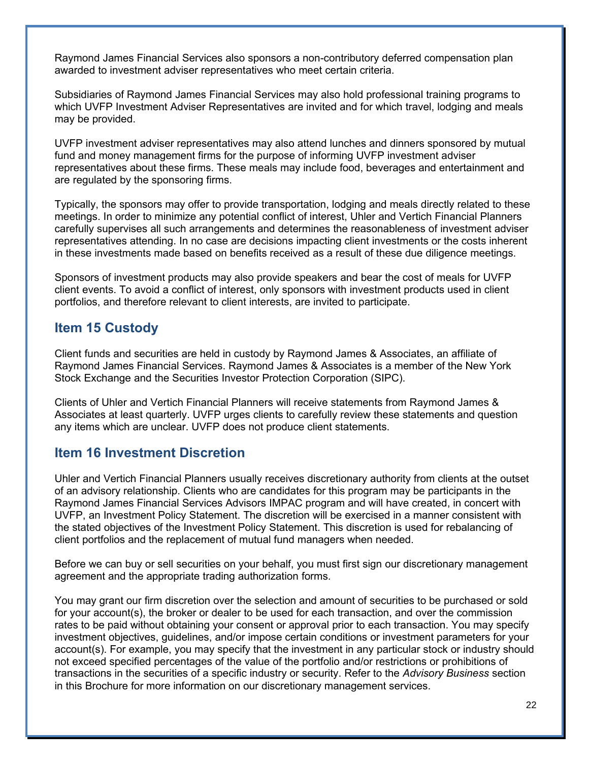Raymond James Financial Services also sponsors a non-contributory deferred compensation plan awarded to investment adviser representatives who meet certain criteria.

Subsidiaries of Raymond James Financial Services may also hold professional training programs to which UVFP Investment Adviser Representatives are invited and for which travel, lodging and meals may be provided.

UVFP investment adviser representatives may also attend lunches and dinners sponsored by mutual fund and money management firms for the purpose of informing UVFP investment adviser representatives about these firms. These meals may include food, beverages and entertainment and are regulated by the sponsoring firms.

Typically, the sponsors may offer to provide transportation, lodging and meals directly related to these meetings. In order to minimize any potential conflict of interest, Uhler and Vertich Financial Planners carefully supervises all such arrangements and determines the reasonableness of investment adviser representatives attending. In no case are decisions impacting client investments or the costs inherent in these investments made based on benefits received as a result of these due diligence meetings.

Sponsors of investment products may also provide speakers and bear the cost of meals for UVFP client events. To avoid a conflict of interest, only sponsors with investment products used in client portfolios, and therefore relevant to client interests, are invited to participate.

# **Item 15 Custody**

Client funds and securities are held in custody by Raymond James & Associates, an affiliate of Raymond James Financial Services. Raymond James & Associates is a member of the New York Stock Exchange and the Securities Investor Protection Corporation (SIPC).

Clients of Uhler and Vertich Financial Planners will receive statements from Raymond James & Associates at least quarterly. UVFP urges clients to carefully review these statements and question any items which are unclear. UVFP does not produce client statements.

# **Item 16 Investment Discretion**

Uhler and Vertich Financial Planners usually receives discretionary authority from clients at the outset of an advisory relationship. Clients who are candidates for this program may be participants in the Raymond James Financial Services Advisors IMPAC program and will have created, in concert with UVFP, an Investment Policy Statement. The discretion will be exercised in a manner consistent with the stated objectives of the Investment Policy Statement. This discretion is used for rebalancing of client portfolios and the replacement of mutual fund managers when needed.

Before we can buy or sell securities on your behalf, you must first sign our discretionary management agreement and the appropriate trading authorization forms.

You may grant our firm discretion over the selection and amount of securities to be purchased or sold for your account(s), the broker or dealer to be used for each transaction, and over the commission rates to be paid without obtaining your consent or approval prior to each transaction. You may specify investment objectives, guidelines, and/or impose certain conditions or investment parameters for your account(s). For example, you may specify that the investment in any particular stock or industry should not exceed specified percentages of the value of the portfolio and/or restrictions or prohibitions of transactions in the securities of a specific industry or security. Refer to the *Advisory Business* section in this Brochure for more information on our discretionary management services.